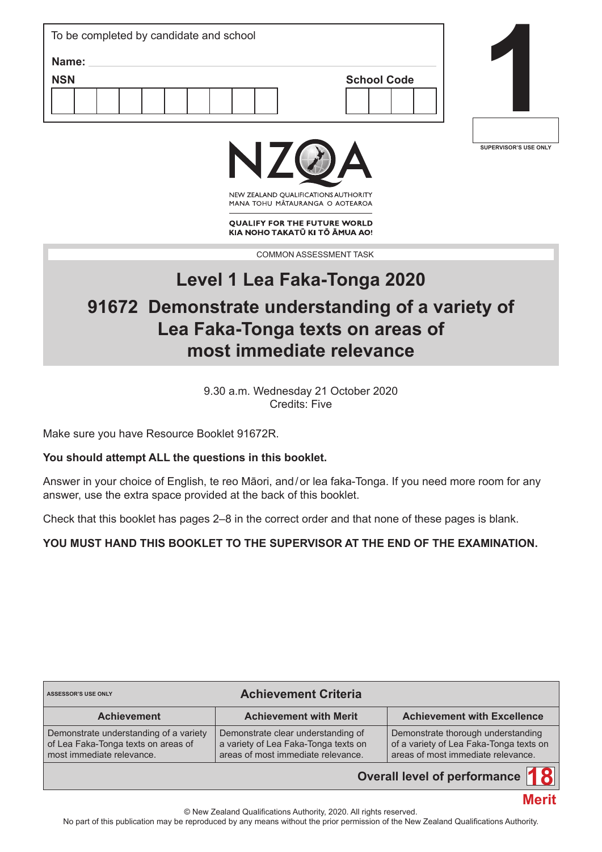| To be completed by candidate and school |                    |  |
|-----------------------------------------|--------------------|--|
| Name:                                   |                    |  |
| <b>NSN</b>                              | <b>School Code</b> |  |
|                                         |                    |  |
|                                         |                    |  |







NEW ZEALAND OUALIFICATIONS AUTHORITY MANA TOHU MATAURANGA O AOTEAROA

**QUALIFY FOR THE FUTURE WORLD** KIA NOHO TAKATŪ KI TŌ ĀMUA AO!

COMMON ASSESSMENT TASK

# **Level 1 Lea Faka-Tonga 2020 91672 Demonstrate understanding of a variety of Lea Faka-Tonga texts on areas of most immediate relevance**

9.30 a.m. Wednesday 21 October 2020 Credits: Five

Make sure you have Resource Booklet 91672R.

### **You should attempt ALL the questions in this booklet.**

Answer in your choice of English, te reo Māori, and/or lea faka-Tonga. If you need more room for any answer, use the extra space provided at the back of this booklet.

Check that this booklet has pages 2–8 in the correct order and that none of these pages is blank.

### **YOU MUST HAND THIS BOOKLET TO THE SUPERVISOR AT THE END OF THE EXAMINATION.**

| <b>Achievement Criteria</b><br><b>ASSESSOR'S USE ONLY</b>                                                  |                                                                                                                  |                                                                                                                     |  |  |
|------------------------------------------------------------------------------------------------------------|------------------------------------------------------------------------------------------------------------------|---------------------------------------------------------------------------------------------------------------------|--|--|
| <b>Achievement</b>                                                                                         | <b>Achievement with Merit</b>                                                                                    | <b>Achievement with Excellence</b>                                                                                  |  |  |
| Demonstrate understanding of a variety<br>of Lea Faka-Tonga texts on areas of<br>most immediate relevance. | Demonstrate clear understanding of<br>a variety of Lea Faka-Tonga texts on<br>areas of most immediate relevance. | Demonstrate thorough understanding<br>of a variety of Lea Faka-Tonga texts on<br>areas of most immediate relevance. |  |  |

### **Overall level of performance**



© New Zealand Qualifications Authority, 2020. All rights reserved.

No part of this publication may be reproduced by any means without the prior permission of the New Zealand Qualifications Authority.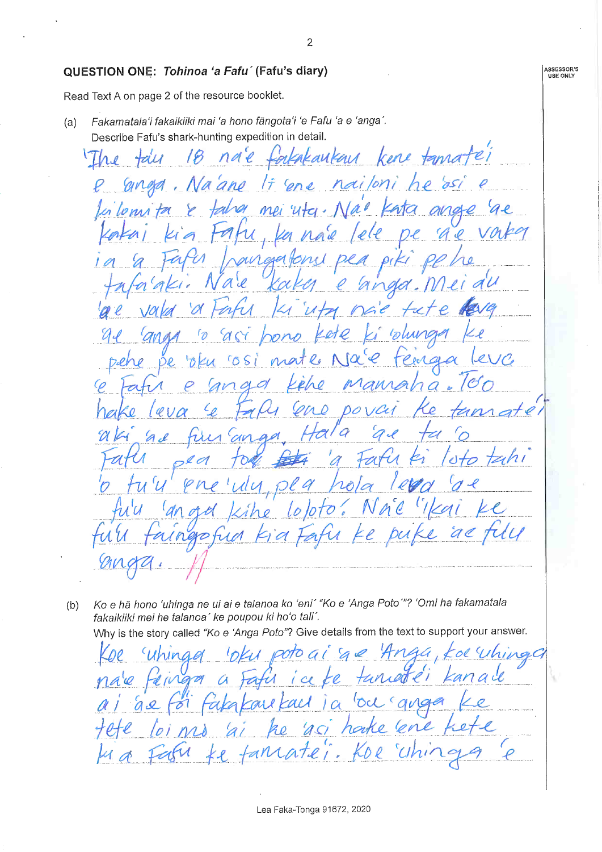#### QUESTION ONE: Tohinoa 'a Fafu' (Fafu's diary)

Read Text A on page 2 of the resource booklet.

Fakamatala'i fakaikiiki mai 'a hono fängota'i 'e Fafu 'a e 'anga'.  $(a)$ Describe Fafu's shark-hunting expedition in detail.

na'e fortakaukau kene tamatéi  $T h_{\vartheta}$ tale 18 nailoni he dsi anga ano cone  $\ell$  $\overline{1}$ Na Ja  $\overline{\mathscr{U}}$ mei and La Lenis  $440 \cdot 1$  $\mathscr{A}$ ana ale V `Qr  $65$ Ďe  $\overline{\mathscr{A}}$  $\Omega$  $DO$ a

Ko e hã hono 'uhinga ne ui ai e talanoa ko 'eni' "Ko e 'Anga Poto'"? 'Omi ha fakamatala  $(b)$ fakaikiiki mei he talanoa' ke poupou ki ho'o tali'.

Why is the story called "Ko e 'Anga Poto"? Give details from the text to support your answer.

Whing ipoto G d.  $\alpha$ vg maa 'Oc ail  $\overline{\mathcal{X}}$ al  $\mathcal{L}$ l  $ACI$ ha

 $\overline{2}$ 

**ASSESSOR'S**<br>USE ONLY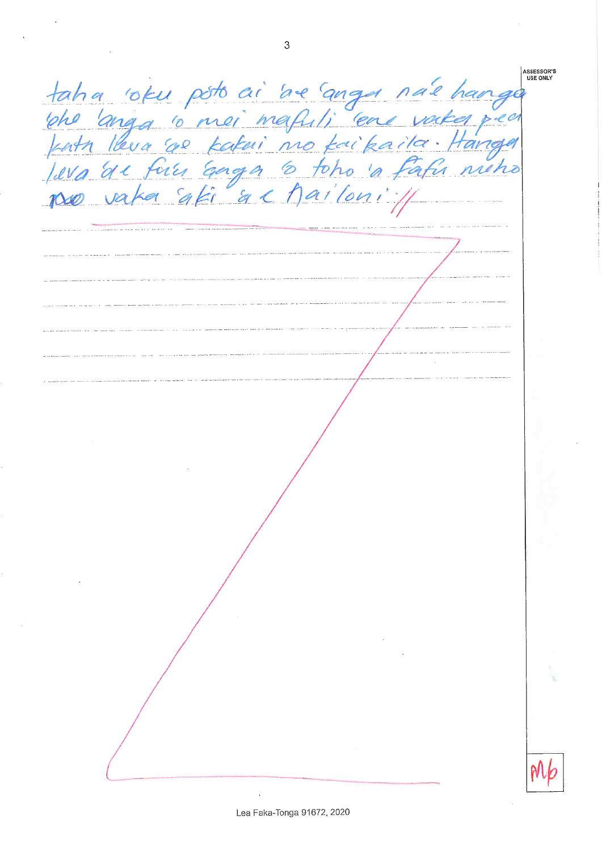**ASSESSOR'S**<br>USE ONLY taha 'oku poto ai 'ae anga na'e han<br>'phe 'anga 'o mei mafuli' ene vaka potenta 'anga 'o mei mafuli' ene vaka potenta<br>|wa ac fau anga 'o toho a fafu nu.<br>po vaka aki 'ac ha' loni' //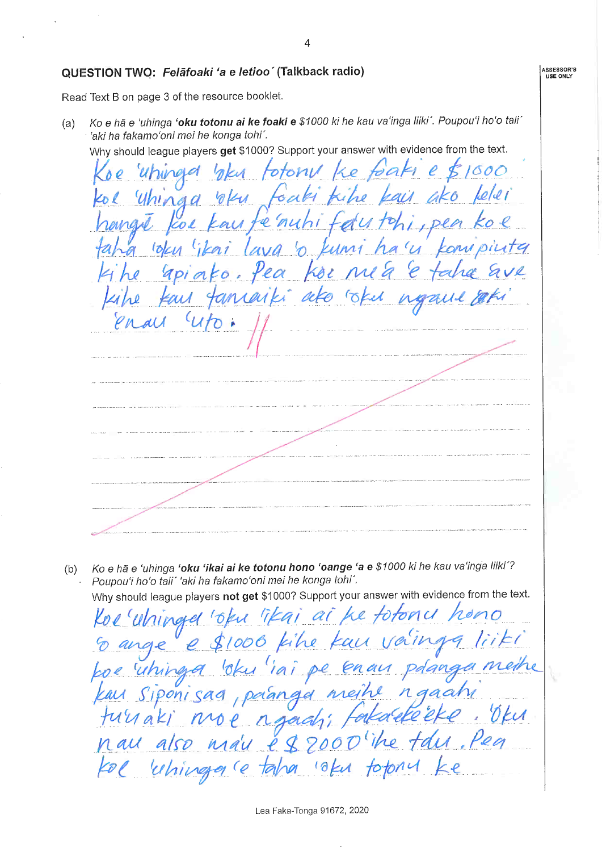#### QUESTION TWO: Felafoaki 'a e letioo' (Talkback radio)

Read Text B on page 3 of the resource booklet.

Ko e hā e 'uhinga 'oku totonu ai ke foaki e \$1000 ki he kau va'inga liiki'. Poupou'i ho'o tali'  $(a)$ 'aki ha fakamo'oni mei he konga tohi'.

Why should league players get \$1000? Support your answer with evidence from the text.

 $000$  $\mathcal{C}_{0}$ bak oto  $\overline{a}$ A O  $\mathfrak{b}$ Kuni  $\overline{\mathcal{E}}$  $\overline{\mathscr{O}}$ 

Ko e hã e 'uhinga 'oku 'ikai ai ke totonu hono 'oange 'a e \$1000 ki he kau va'inga liiki'?  $(b)$ Poupou'i ho'o tali' 'aki ha fakamo'oni mei he konga tohi'. Why should league players not get \$1000? Support your answer with evidence from the text.

 $\mathscr{A}$  $\mathscr{C}$ l DION  $\mathcal{U}$ Ingle re K  $\boldsymbol{\varphi}$  $iai$ pe e paan Siponisag raan kai ne  $\overline{a}$  $\epsilon$ turiaki rga nau also fol uhinga  $184$  $\mathcal{M}$ 70

 $\overline{4}$ 

ASSESSOR'S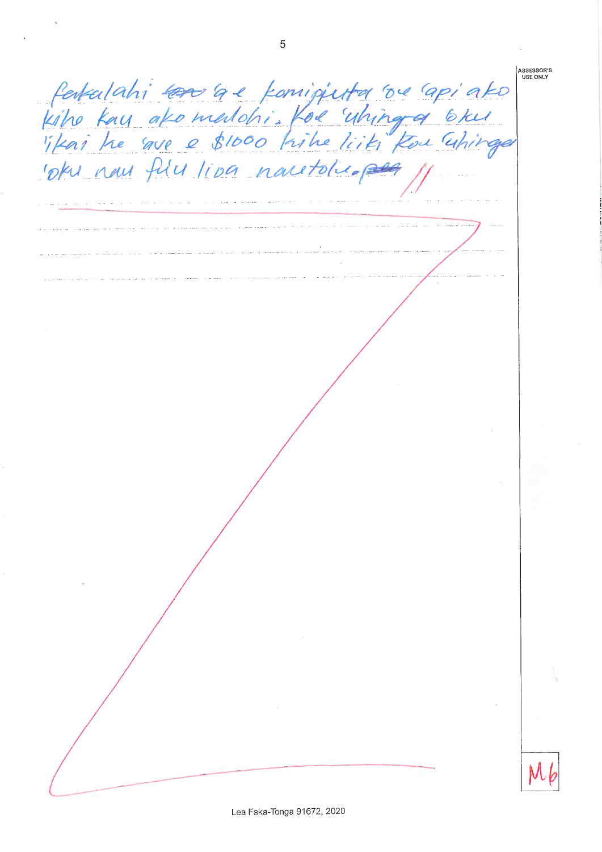**ASSESSOR'S**<br>USE ONLY fertalahi sano a e fornigjuta os apiato<br>Kiho kay ako madohi. Kos uhinga bku oku nous fúlu liva nautoluspeg

5

Lea Faka-Tonga 91672, 2020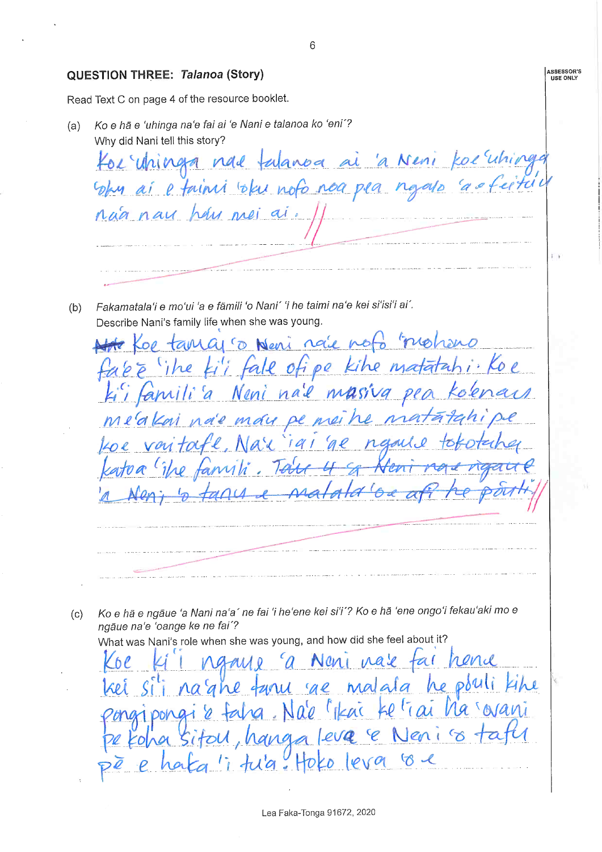ASSESSOR'S QUESTION THREE: Talanoa (Story) Read Text C on page 4 of the resource booklet. Ko e hã e 'uhinga na'e fai ai 'e Nani e talanoa ko 'eni'?  $(a)$ Why did Nani tell this story? Kor Uninga nad talanoa ai 'a Neni koe uhing bhy ai e fainn blu nofo noa pea ngalo ca nãa nou hay mei ai. Fakamatala'i e mo'ui 'a e fāmili 'o Nani' 'i he taimi na'e kei si'isi'i ai'.  $(b)$ Describe Nani's family life when she was young. noie noto motisms  $G1$  ( $D$  News  $i$  Koe kihe matata  $0Q$ nail mass Non more pe mei h r a Ko e hã e ngãue 'a Nani na'a' ne fai 'i he'ene kei si'i'? Ko e hã 'ene ongo'i fekau'aki mo e  $(c)$ ngāue na'e 'oange ke ne fai'? What was Nani's role when she was young, and how did she feel about it? Neni nale tai rend malala he pouli turu ge Nale l'Ikai ke trai ha sovani pong hanga leva e Nenico ta SITOU tu'a. Hoko leva oe

 $6\overline{6}$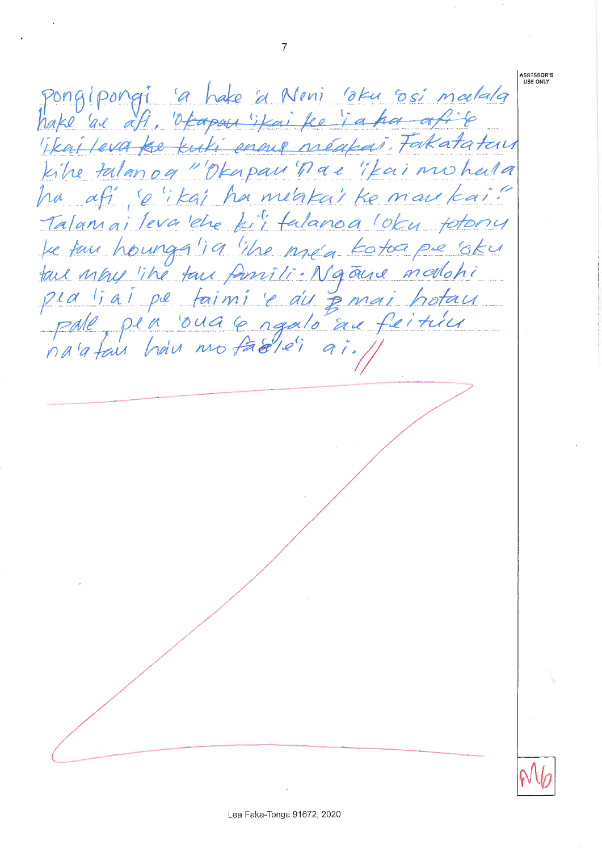pongipongi 'a hake a Neni 'oku osi maelala hake 'al afi, 'ofcapan'ifai ke ia ha afit Tkai leva ke kuki enne néakai. Fakatatan kike talanog "Okapau nac "Kai mohala ha afi so ikai ha metakai ke mare kai! Talamai leva ehe fi'i falanoa loku fotony be two houngs '19 'the me'a kotoa pe 'oku tall may like tour famili. Na oure modohi pla liai pe faimi le du pemai hotau pale pia oua le ngalo au feitiu

**ASSESSOR'S** USE ONLY

 $\overline{7}$